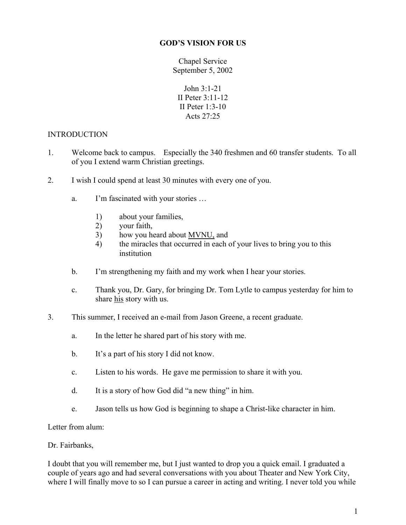#### **GOD'S VISION FOR US**

Chapel Service September 5, 2002

John 3:1-21 II Peter 3:11-12 II Peter 1:3-10 Acts 27:25

### INTRODUCTION

- 1. Welcome back to campus. Especially the 340 freshmen and 60 transfer students. To all of you I extend warm Christian greetings.
- 2. I wish I could spend at least 30 minutes with every one of you.
	- a. I'm fascinated with your stories …
		- 1) about your families,
		- 2) your faith,
		- 3) how you heard about MVNU, and
		- 4) the miracles that occurred in each of your lives to bring you to this institution
	- b. I'm strengthening my faith and my work when I hear your stories.
	- c. Thank you, Dr. Gary, for bringing Dr. Tom Lytle to campus yesterday for him to share his story with us.
- 3. This summer, I received an e-mail from Jason Greene, a recent graduate.
	- a. In the letter he shared part of his story with me.
	- b. It's a part of his story I did not know.
	- c. Listen to his words. He gave me permission to share it with you.
	- d. It is a story of how God did "a new thing" in him.
	- e. Jason tells us how God is beginning to shape a Christ-like character in him.

Letter from alum:

### Dr. Fairbanks,

I doubt that you will remember me, but I just wanted to drop you a quick email. I graduated a couple of years ago and had several conversations with you about Theater and New York City, where I will finally move to so I can pursue a career in acting and writing. I never told you while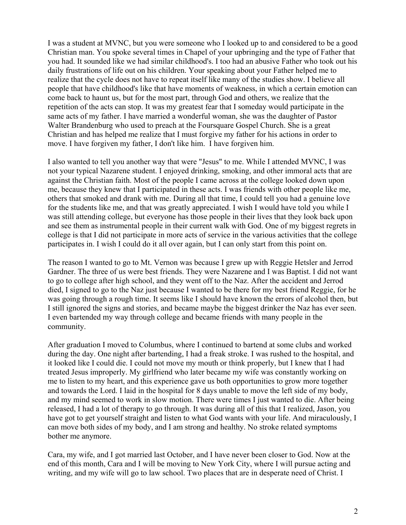I was a student at MVNC, but you were someone who I looked up to and considered to be a good Christian man. You spoke several times in Chapel of your upbringing and the type of Father that you had. It sounded like we had similar childhood's. I too had an abusive Father who took out his daily frustrations of life out on his children. Your speaking about your Father helped me to realize that the cycle does not have to repeat itself like many of the studies show. I believe all people that have childhood's like that have moments of weakness, in which a certain emotion can come back to haunt us, but for the most part, through God and others, we realize that the repetition of the acts can stop. It was my greatest fear that I someday would participate in the same acts of my father. I have married a wonderful woman, she was the daughter of Pastor Walter Brandenburg who used to preach at the Foursquare Gospel Church. She is a great Christian and has helped me realize that I must forgive my father for his actions in order to move. I have forgiven my father, I don't like him. I have forgiven him.

I also wanted to tell you another way that were "Jesus" to me. While I attended MVNC, I was not your typical Nazarene student. I enjoyed drinking, smoking, and other immoral acts that are against the Christian faith. Most of the people I came across at the college looked down upon me, because they knew that I participated in these acts. I was friends with other people like me, others that smoked and drank with me. During all that time, I could tell you had a genuine love for the students like me, and that was greatly appreciated. I wish I would have told you while I was still attending college, but everyone has those people in their lives that they look back upon and see them as instrumental people in their current walk with God. One of my biggest regrets in college is that I did not participate in more acts of service in the various activities that the college participates in. I wish I could do it all over again, but I can only start from this point on.

The reason I wanted to go to Mt. Vernon was because I grew up with Reggie Hetsler and Jerrod Gardner. The three of us were best friends. They were Nazarene and I was Baptist. I did not want to go to college after high school, and they went off to the Naz. After the accident and Jerrod died, I signed to go to the Naz just because I wanted to be there for my best friend Reggie, for he was going through a rough time. It seems like I should have known the errors of alcohol then, but I still ignored the signs and stories, and became maybe the biggest drinker the Naz has ever seen. I even bartended my way through college and became friends with many people in the community.

After graduation I moved to Columbus, where I continued to bartend at some clubs and worked during the day. One night after bartending, I had a freak stroke. I was rushed to the hospital, and it looked like I could die. I could not move my mouth or think properly, but I knew that I had treated Jesus improperly. My girlfriend who later became my wife was constantly working on me to listen to my heart, and this experience gave us both opportunities to grow more together and towards the Lord. I laid in the hospital for 8 days unable to move the left side of my body, and my mind seemed to work in slow motion. There were times I just wanted to die. After being released, I had a lot of therapy to go through. It was during all of this that I realized, Jason, you have got to get yourself straight and listen to what God wants with your life. And miraculously, I can move both sides of my body, and I am strong and healthy. No stroke related symptoms bother me anymore.

Cara, my wife, and I got married last October, and I have never been closer to God. Now at the end of this month, Cara and I will be moving to New York City, where I will pursue acting and writing, and my wife will go to law school. Two places that are in desperate need of Christ. I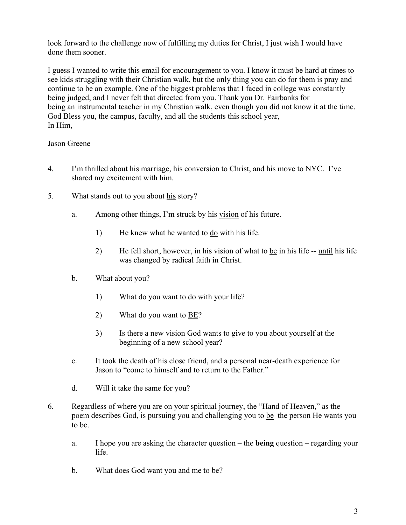look forward to the challenge now of fulfilling my duties for Christ, I just wish I would have done them sooner.

I guess I wanted to write this email for encouragement to you. I know it must be hard at times to see kids struggling with their Christian walk, but the only thing you can do for them is pray and continue to be an example. One of the biggest problems that I faced in college was constantly being judged, and I never felt that directed from you. Thank you Dr. Fairbanks for being an instrumental teacher in my Christian walk, even though you did not know it at the time. God Bless you, the campus, faculty, and all the students this school year, In Him,

### Jason Greene

- 4. I'm thrilled about his marriage, his conversion to Christ, and his move to NYC. I've shared my excitement with him.
- 5. What stands out to you about his story?
	- a. Among other things, I'm struck by his vision of his future.
		- 1) He knew what he wanted to do with his life.
		- 2) He fell short, however, in his vision of what to be in his life  $-$  until his life was changed by radical faith in Christ.
	- b. What about you?
		- 1) What do you want to do with your life?
		- 2) What do you want to <u>BE</u>?
		- 3) Is there a new vision God wants to give to you about yourself at the beginning of a new school year?
	- c. It took the death of his close friend, and a personal near-death experience for Jason to "come to himself and to return to the Father."
	- d. Will it take the same for you?
- 6. Regardless of where you are on your spiritual journey, the "Hand of Heaven," as the poem describes God, is pursuing you and challenging you to be the person He wants you to be.
	- a. I hope you are asking the character question the **being** question regarding your life.
	- b. What does God want you and me to be?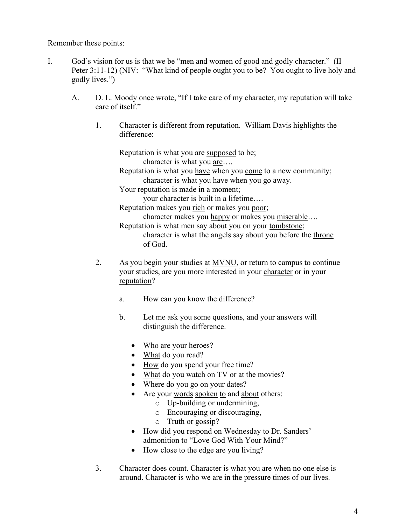Remember these points:

- I. God's vision for us is that we be "men and women of good and godly character." (II Peter 3:11-12) (NIV: "What kind of people ought you to be? You ought to live holy and godly lives.")
	- A. D. L. Moody once wrote, "If I take care of my character, my reputation will take care of itself."
		- 1. Character is different from reputation. William Davis highlights the difference:

Reputation is what you are supposed to be; character is what you are….

Reputation is what you have when you come to a new community; character is what you have when you go away.

Your reputation is made in a moment;

your character is built in a lifetime….

Reputation makes you rich or makes you poor;

character makes you happy or makes you miserable…. Reputation is what men say about you on your tombstone; character is what the angels say about you before the throne

of God.

- 2. As you begin your studies at MVNU, or return to campus to continue your studies, are you more interested in your character or in your reputation?
	- a. How can you know the difference?
	- b. Let me ask you some questions, and your answers will distinguish the difference.
		- Who are your heroes?
		- What do you read?
		- How do you spend your free time?
		- What do you watch on TV or at the movies?
		- Where do you go on your dates?
		- Are your words spoken to and about others:
			- o Up-building or undermining,
			- o Encouraging or discouraging,
			- o Truth or gossip?
		- How did you respond on Wednesday to Dr. Sanders' admonition to "Love God With Your Mind?"
		- How close to the edge are you living?
- 3. Character does count. Character is what you are when no one else is around. Character is who we are in the pressure times of our lives.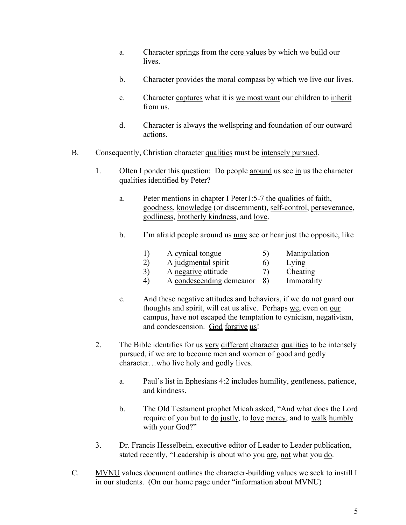- a. Character springs from the core values by which we build our lives.
- b. Character provides the moral compass by which we live our lives.
- c. Character captures what it is we most want our children to inherit from us.
- d. Character is always the wellspring and foundation of our outward actions.
- B. Consequently, Christian character qualities must be intensely pursued.
	- 1. Often I ponder this question: Do people around us see in us the character qualities identified by Peter?
		- a. Peter mentions in chapter I Peter1:5-7 the qualities of faith, goodness, knowledge (or discernment), self-control, perseverance, godliness, brotherly kindness, and love.
		- b. I'm afraid people around us <u>may</u> see or hear just the opposite, like
			- 1) A cynical tongue 5) Manipulation
			- 2) A judgmental spirit 6) Lying
			- 3) A negative attitude 7) Cheating
			- 4) A condescending demeanor 8) Immorality
		- c. And these negative attitudes and behaviors, if we do not guard our thoughts and spirit, will eat us alive. Perhaps we, even on our campus, have not escaped the temptation to cynicism, negativism, and condescension. God forgive us!
	- 2. The Bible identifies for us very different character qualities to be intensely pursued, if we are to become men and women of good and godly character…who live holy and godly lives.
		- a. Paul's list in Ephesians 4:2 includes humility, gentleness, patience, and kindness.
		- b. The Old Testament prophet Micah asked, "And what does the Lord require of you but to do justly, to love mercy, and to walk humbly with your God?"
	- 3. Dr. Francis Hesselbein, executive editor of Leader to Leader publication, stated recently, "Leadership is about who you are, not what you do.
- C. MVNU values document outlines the character-building values we seek to instill I in our students. (On our home page under "information about MVNU)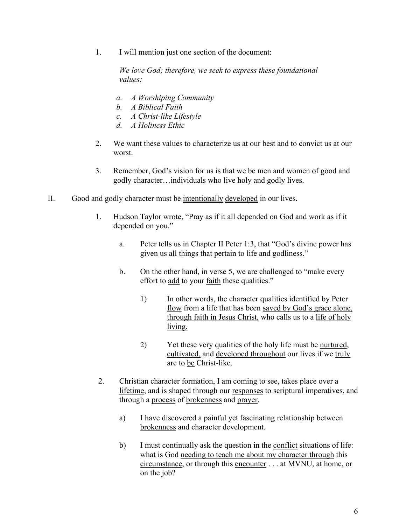1. I will mention just one section of the document:

*We love God; therefore, we seek to express these foundational values:* 

- *a. A Worshiping Community*
- *b. A Biblical Faith*
- *c. A Christ-like Lifestyle*
- *d. A Holiness Ethic*
- 2. We want these values to characterize us at our best and to convict us at our worst.
- 3. Remember, God's vision for us is that we be men and women of good and godly character…individuals who live holy and godly lives.
- II. Good and godly character must be intentionally developed in our lives.
	- 1. Hudson Taylor wrote, "Pray as if it all depended on God and work as if it depended on you."
		- a. Peter tells us in Chapter II Peter 1:3, that "God's divine power has given us all things that pertain to life and godliness."
		- b. On the other hand, in verse 5, we are challenged to "make every effort to add to your faith these qualities."
			- 1) In other words, the character qualities identified by Peter flow from a life that has been saved by God's grace alone, through faith in Jesus Christ, who calls us to a life of holy living.
			- 2) Yet these very qualities of the holy life must be <u>nurtured</u>, cultivated, and developed throughout our lives if we truly are to be Christ-like.
	- 2. Christian character formation, I am coming to see, takes place over a lifetime, and is shaped through our responses to scriptural imperatives, and through a process of brokenness and prayer.
		- a) I have discovered a painful yet fascinating relationship between brokenness and character development.
		- b) I must continually ask the question in the conflict situations of life: what is God needing to teach me about my character through this circumstance, or through this encounter . . . at MVNU, at home, or on the job?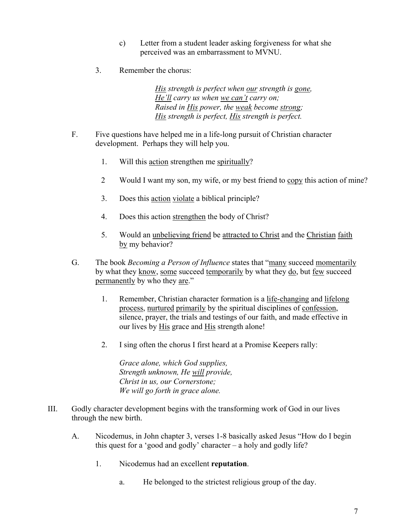- c) Letter from a student leader asking forgiveness for what she perceived was an embarrassment to MVNU.
- 3. Remember the chorus:

*His strength is perfect when our strength is gone, He'll carry us when we can't carry on; Raised in His power, the weak become strong; His strength is perfect, His strength is perfect.* 

- F. Five questions have helped me in a life-long pursuit of Christian character development. Perhaps they will help you.
	- 1. Will this action strengthen me spiritually?
	- 2 Would I want my son, my wife, or my best friend to copy this action of mine?
	- 3. Does this action violate a biblical principle?
	- 4. Does this action strengthen the body of Christ?
	- 5. Would an unbelieving friend be attracted to Christ and the Christian faith by my behavior?
- G. The book *Becoming a Person of Influence* states that "many succeed momentarily by what they know, some succeed temporarily by what they do, but few succeed permanently by who they are."
	- 1. Remember, Christian character formation is a life-changing and lifelong process, nurtured primarily by the spiritual disciplines of confession, silence, prayer, the trials and testings of our faith, and made effective in our lives by His grace and His strength alone!
	- 2. I sing often the chorus I first heard at a Promise Keepers rally:

*Grace alone, which God supplies, Strength unknown, He will provide, Christ in us, our Cornerstone; We will go forth in grace alone.* 

- III. Godly character development begins with the transforming work of God in our lives through the new birth.
	- A. Nicodemus, in John chapter 3, verses 1-8 basically asked Jesus "How do I begin this quest for a 'good and godly' character – a holy and godly life?
		- 1. Nicodemus had an excellent **reputation**.
			- a. He belonged to the strictest religious group of the day.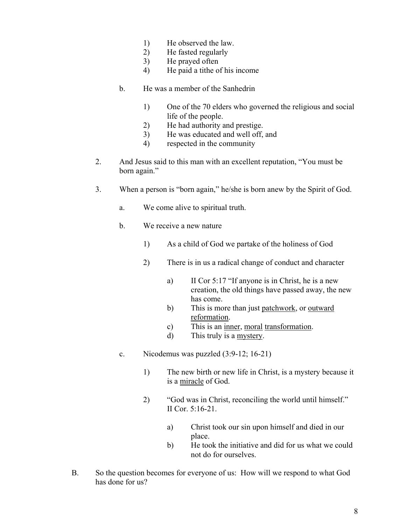- 1) He observed the law.
- 2) He fasted regularly
- 3) He prayed often
- 4) He paid a tithe of his income
- b. He was a member of the Sanhedrin
	- 1) One of the 70 elders who governed the religious and social life of the people.
	- 2) He had authority and prestige.
	- 3) He was educated and well off, and
	- 4) respected in the community
- 2. And Jesus said to this man with an excellent reputation, "You must be born again."
- 3. When a person is "born again," he/she is born anew by the Spirit of God.
	- a. We come alive to spiritual truth.
	- b. We receive a new nature
		- 1) As a child of God we partake of the holiness of God
		- 2) There is in us a radical change of conduct and character
			- a) II Cor 5:17 "If anyone is in Christ, he is a new creation, the old things have passed away, the new has come.
			- b) This is more than just patchwork, or outward reformation.
			- c) This is an inner, moral transformation.
			- d) This truly is a mystery.
	- c. Nicodemus was puzzled (3:9-12; 16-21)
		- 1) The new birth or new life in Christ, is a mystery because it is a miracle of God.
		- 2) "God was in Christ, reconciling the world until himself." II Cor. 5:16-21.
			- a) Christ took our sin upon himself and died in our place.
			- b) He took the initiative and did for us what we could not do for ourselves.
- B. So the question becomes for everyone of us: How will we respond to what God has done for us?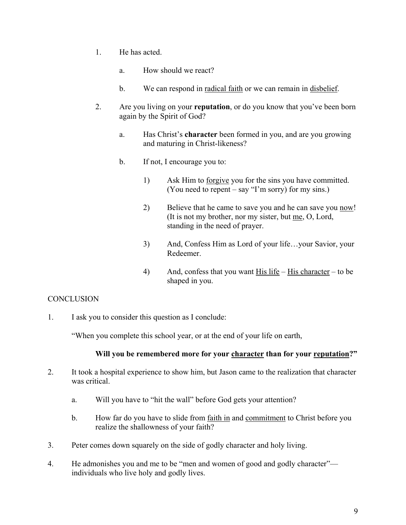- 1. He has acted.
	- a. How should we react?
	- b. We can respond in radical faith or we can remain in disbelief.
- 2. Are you living on your **reputation**, or do you know that you've been born again by the Spirit of God?
	- a. Has Christ's **character** been formed in you, and are you growing and maturing in Christ-likeness?
	- b. If not, I encourage you to:
		- 1) Ask Him to forgive you for the sins you have committed. (You need to repent – say "I'm sorry) for my sins.)
		- 2) Believe that he came to save you and he can save you now! (It is not my brother, nor my sister, but me, O, Lord, standing in the need of prayer.
		- 3) And, Confess Him as Lord of your life…your Savior, your Redeemer.
		- 4) And, confess that you want  $\underline{His}$  life His character to be shaped in you.

# **CONCLUSION**

1. I ask you to consider this question as I conclude:

"When you complete this school year, or at the end of your life on earth,

# **Will you be remembered more for your character than for your reputation?"**

- 2. It took a hospital experience to show him, but Jason came to the realization that character was critical.
	- a. Will you have to "hit the wall" before God gets your attention?
	- b. How far do you have to slide from faith in and commitment to Christ before you realize the shallowness of your faith?
- 3. Peter comes down squarely on the side of godly character and holy living.
- 4. He admonishes you and me to be "men and women of good and godly character" individuals who live holy and godly lives.